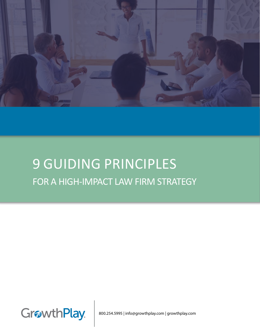

# 9 GUIDING PRINCIPLES FOR A HIGH-IMPACT LAW FIRM STRATEGY



800.254.5995 | info@growthplay.com | growthplay.com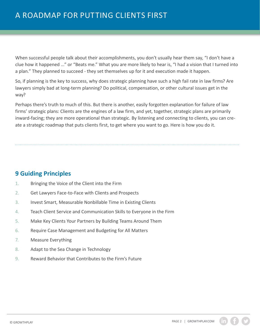When successful people talk about their accomplishments, you don't usually hear them say, "I don't have a clue how it happened ..." or "Beats me." What you are more likely to hear is, "I had a vision that I turned into a plan." They planned to succeed - they set themselves up for it and execution made it happen.

So, if planning is the key to success, why does strategic planning have such a high fail rate in law firms? Are lawyers simply bad at long-term planning? Do political, compensation, or other cultural issues get in the way?

Perhaps there's truth to much of this. But there is another, easily forgotten explanation for failure of law firms' strategic plans: Clients are the engines of a law firm, and yet, together, strategic plans are primarily inward-facing; they are more operational than strategic. By listening and connecting to clients, you can create a strategic roadmap that puts clients first, to get where you want to go. Here is how you do it.

### **9 Guiding Principles**

- 1. Bringing the Voice of the Client into the Firm
- 2. Get Lawyers Face-to-Face with Clients and Prospects
- 3. Invest Smart, Measurable Nonbillable Time in Existing Clients
- 4. Teach Client Service and Communication Skills to Everyone in the Firm
- 5. Make Key Clients Your Partners by Building Teams Around Them
- 6. Require Case Management and Budgeting for All Matters
- 7. Measure Everything
- 8. Adapt to the Sea Change in Technology
- 9. Reward Behavior that Contributes to the Firm's Future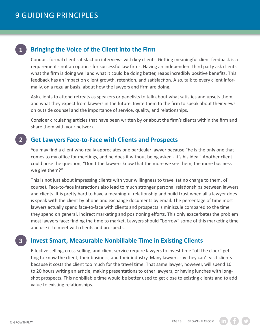### **Bringing the Voice of the Client into the Firm 1**

Conduct formal client satisfaction interviews with key clients. Getting meaningful client feedback is a requirement - not an option - for successful law firms. Having an independent third party ask clients what the firm is doing well and what it could be doing better, reaps incredibly positive benefits. This feedback has an impact on client growth, retention, and satisfaction. Also, talk to every client informally, on a regular basis, about how the lawyers and firm are doing.

Ask clients to attend retreats as speakers or panelists to talk about what satisfies and upsets them, and what they expect from lawyers in the future. Invite them to the firm to speak about their views on outside counsel and the importance of service, quality, and relationships.

Consider circulating articles that have been written by or about the firm's clients within the firm and share them with your network.

### **Get Lawyers Face-to-Face with Clients and Prospects 2**

You may find a client who really appreciates one particular lawyer because "he is the only one that comes to my office for meetings, and he does it without being asked - it's his idea." Another client could pose the question, "Don't the lawyers know that the more we see them, the more business we give them?"

This is not just about impressing clients with your willingness to travel (at no charge to them, of course). Face-to-face interactions also lead to much stronger personal relationships between lawyers and clients. It is pretty hard to have a meaningful relationship and build trust when all a lawyer does is speak with the client by phone and exchange documents by email. The percentage of time most lawyers actually spend face-to-face with clients and prospects is miniscule compared to the time they spend on general, indirect marketing and positioning efforts. This only exacerbates the problem most lawyers face: finding the time to market. Lawyers should "borrow" some of this marketing time and use it to meet with clients and prospects.

### **Invest Smart, Measurable Nonbillable Time in Existing Clients 3**

Effective selling, cross-selling, and client service require lawyers to invest time "off the clock" getting to know the client, their business, and their industry. Many lawyers say they can't visit clients because it costs the client too much for the travel time. That same lawyer, however, will spend 10 to 20 hours writing an article, making presentations to other lawyers, or having lunches with longshot prospects. This nonbillable time would be better used to get close to existing clients and to add value to existing relationships.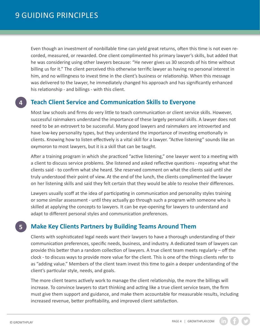Even though an investment of nonbillable time can yield great returns, often this time is not even recorded, measured, or rewarded. One client complimented his primary lawyer's skills, but added that he was considering using other lawyers because: "He never gives us 30 seconds of his time without billing us for it." The client perceived this otherwise terrific lawyer as having no personal interest in him, and no willingness to invest time in the client's business or relationship. When this message was delivered to the lawyer, he immediately changed his approach and has significantly enhanced his relationship - and billings - with this client.

### **Teach Client Service and Communication Skills to Everyone**

Most law schools and firms do very little to teach communication or client service skills. However, successful rainmakers understand the importance of these largely personal skills. A lawyer does not need to be an extrovert to be successful. Many good lawyers and rainmakers are introverted and have low-key personality types, but they understand the importance of investing emotionally in clients. Knowing how to listen effectively is a vital skill for a lawyer. "Active listening" sounds like an oxymoron to most lawyers, but it is a skill that can be taught.

After a training program in which she practiced "active listening," one lawyer went to a meeting with a client to discuss service problems. She listened and asked reflective questions - repeating what the clients said - to confirm what she heard. She reserved comment on what the clients said until she truly understood their point of view. At the end of the lunch, the clients complimented the lawyer on her listening skills and said they felt certain that they would be able to resolve their differences.

Lawyers usually scoff at the idea of participating in communication and personality styles training or some similar assessment - until they actually go through such a program with someone who is skilled at applying the concepts to lawyers. It can be eye-opening for lawyers to understand and adapt to different personal styles and communication preferences.

# **Make Key Clients Partners by Building Teams Around Them**

Clients with sophisticated legal needs want their lawyers to have a thorough understanding of their communication preferences, specific needs, business, and industry. A dedicated team of lawyers can provide this better than a random collection of lawyers. A true client team meets regularly – off the clock - to discuss ways to provide more value for the client. This is one of the things clients refer to as "adding value." Members of the client team invest this time to gain a deeper understanding of the client's particular style, needs, and goals.

The more client teams actively work to manage the client relationship, the more the billings will increase. To convince lawyers to start thinking and acting like a true client service team, the firm must give them support and guidance, and make them accountable for measurable results, including increased revenue, better profitability, and improved client satisfaction.

**5**

**4**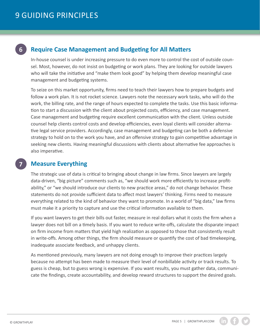### **Require Case Management and Budgeting for All Matters 6**

In-house counsel is under increasing pressure to do even more to control the cost of outside counsel. Most, however, do not insist on budgeting or work plans. They are looking for outside lawyers who will take the initiative and "make them look good" by helping them develop meaningful case management and budgeting systems.

To seize on this market opportunity, firms need to teach their lawyers how to prepare budgets and follow a work plan. It is not rocket science. Lawyers note the necessary work tasks, who will do the work, the billing rate, and the range of hours expected to complete the tasks. Use this basic information to start a discussion with the client about projected costs, efficiency, and case management. Case management and budgeting require excellent communication with the client. Unless outside counsel help clients control costs and develop efficiencies, even loyal clients will consider alternative legal service providers. Accordingly, case management and budgeting can be both a defensive strategy to hold on to the work you have, and an offensive strategy to gain competitive advantage in seeking new clients. Having meaningful discussions with clients about alternative fee approaches is also imperative.

**7**

## **Measure Everything**

The strategic use of data is critical to bringing about change in law firms. Since lawyers are largely data-driven, "big picture" comments such as, "we should work more efficiently to increase profitability," or "we should introduce our clients to new practice areas," do not change behavior. These statements do not provide sufficient data to affect most lawyers' thinking. Firms need to measure everything related to the kind of behavior they want to promote. In a world of "big data," law firms must make it a priority to capture and use the critical information available to them.

If you want lawyers to get their bills out faster, measure in real dollars what it costs the firm when a lawyer does not bill on a timely basis. If you want to reduce write-offs, calculate the disparate impact on firm income from matters that yield high realization as opposed to those that consistently result in write-offs. Among other things, the firm should measure or quantify the cost of bad timekeeping, inadequate associate feedback, and unhappy clients.

As mentioned previously, many lawyers are not doing enough to improve their practices largely because no attempt has been made to measure their level of nonbillable activity or track results. To guess is cheap, but to guess wrong is expensive. If you want results, you must gather data, communicate the findings, create accountability, and develop reward structures to support the desired goals.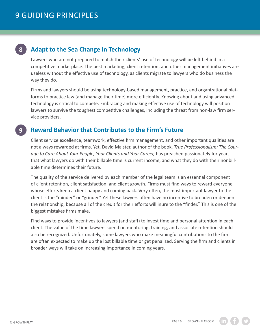### **Adapt to the Sea Change in Technology 8**

Lawyers who are not prepared to match their clients' use of technology will be left behind in a competitive marketplace. The best marketing, client retention, and other management initiatives are useless without the effective use of technology, as clients migrate to lawyers who do business the way they do.

Firms and lawyers should be using technology-based management, practice, and organizational platforms to practice law (and manage their time) more efficiently. Knowing about and using advanced technology is critical to compete. Embracing and making effective use of technology will position lawyers to survive the toughest competitive challenges, including the threat from non-law firm service providers.

#### **Reward Behavior that Contributes to the Firm's Future 9**

Client service excellence, teamwork, effective firm management, and other important qualities are not always rewarded at firms. Yet, David Maister, author of the book, *True Professionalism: The Courage to Care About Your People, Your Clients and Your Career,* has preached passionately for years that what lawyers do with their billable time is current income, and what they do with their nonbillable time determines their future.

The quality of the service delivered by each member of the legal team is an essential component of client retention, client satisfaction, and client growth. Firms must find ways to reward everyone whose efforts keep a client happy and coming back. Very often, the most important lawyer to the client is the "minder" or "grinder." Yet these lawyers often have no incentive to broaden or deepen the relationship, because all of the credit for their efforts will inure to the "finder." This is one of the biggest mistakes firms make.

Find ways to provide incentives to lawyers (and staff) to invest time and personal attention in each client. The value of the time lawyers spend on mentoring, training, and associate retention should also be recognized. Unfortunately, some lawyers who make meaningful contributions to the firm are often expected to make up the lost billable time or get penalized. Serving the firm and clients in broader ways will take on increasing importance in coming years.